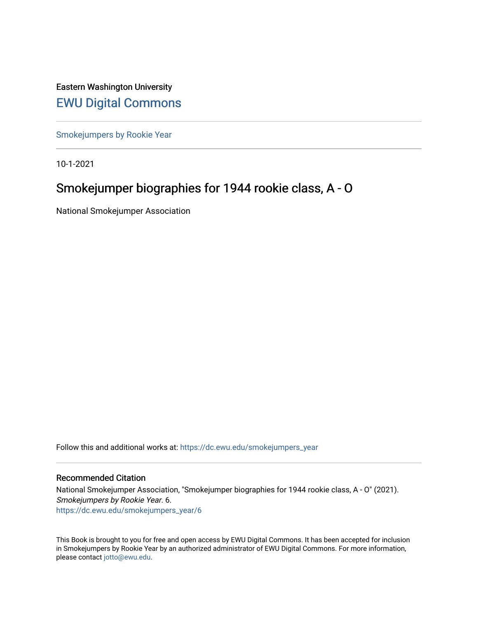Eastern Washington University [EWU Digital Commons](https://dc.ewu.edu/)

[Smokejumpers by Rookie Year](https://dc.ewu.edu/smokejumpers_year)

10-1-2021

# Smokejumper biographies for 1944 rookie class, A - O

National Smokejumper Association

Follow this and additional works at: [https://dc.ewu.edu/smokejumpers\\_year](https://dc.ewu.edu/smokejumpers_year?utm_source=dc.ewu.edu%2Fsmokejumpers_year%2F6&utm_medium=PDF&utm_campaign=PDFCoverPages) 

#### Recommended Citation

National Smokejumper Association, "Smokejumper biographies for 1944 rookie class, A - O" (2021). Smokejumpers by Rookie Year. 6. [https://dc.ewu.edu/smokejumpers\\_year/6](https://dc.ewu.edu/smokejumpers_year/6?utm_source=dc.ewu.edu%2Fsmokejumpers_year%2F6&utm_medium=PDF&utm_campaign=PDFCoverPages)

This Book is brought to you for free and open access by EWU Digital Commons. It has been accepted for inclusion in Smokejumpers by Rookie Year by an authorized administrator of EWU Digital Commons. For more information, please contact [jotto@ewu.edu](mailto:jotto@ewu.edu).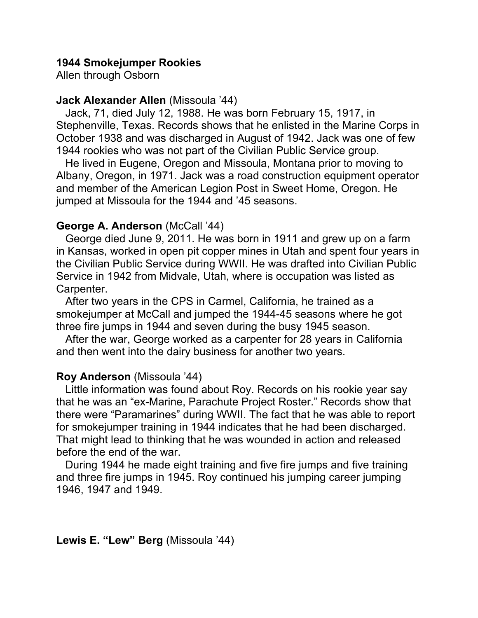# **1944 Smokejumper Rookies**

Allen through Osborn

### **Jack Alexander Allen** (Missoula '44)

 Jack, 71, died July 12, 1988. He was born February 15, 1917, in Stephenville, Texas. Records shows that he enlisted in the Marine Corps in October 1938 and was discharged in August of 1942. Jack was one of few 1944 rookies who was not part of the Civilian Public Service group.

 He lived in Eugene, Oregon and Missoula, Montana prior to moving to Albany, Oregon, in 1971. Jack was a road construction equipment operator and member of the American Legion Post in Sweet Home, Oregon. He jumped at Missoula for the 1944 and '45 seasons.

# **George A. Anderson** (McCall '44)

 George died June 9, 2011. He was born in 1911 and grew up on a farm in Kansas, worked in open pit copper mines in Utah and spent four years in the Civilian Public Service during WWII. He was drafted into Civilian Public Service in 1942 from Midvale, Utah, where is occupation was listed as Carpenter.

 After two years in the CPS in Carmel, California, he trained as a smokejumper at McCall and jumped the 1944-45 seasons where he got three fire jumps in 1944 and seven during the busy 1945 season.

 After the war, George worked as a carpenter for 28 years in California and then went into the dairy business for another two years.

# **Roy Anderson** (Missoula '44)

 Little information was found about Roy. Records on his rookie year say that he was an "ex-Marine, Parachute Project Roster." Records show that there were "Paramarines" during WWII. The fact that he was able to report for smokejumper training in 1944 indicates that he had been discharged. That might lead to thinking that he was wounded in action and released before the end of the war.

 During 1944 he made eight training and five fire jumps and five training and three fire jumps in 1945. Roy continued his jumping career jumping 1946, 1947 and 1949.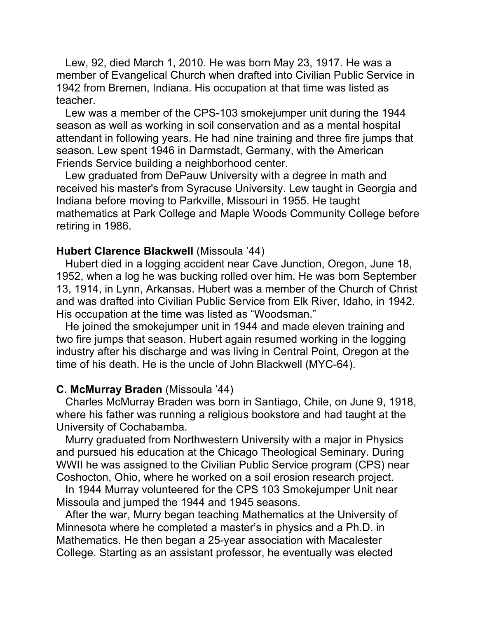Lew, 92, died March 1, 2010. He was born May 23, 1917. He was a member of Evangelical Church when drafted into Civilian Public Service in 1942 from Bremen, Indiana. His occupation at that time was listed as teacher.

 Lew was a member of the CPS-103 smokejumper unit during the 1944 season as well as working in soil conservation and as a mental hospital attendant in following years. He had nine training and three fire jumps that season. Lew spent 1946 in Darmstadt, Germany, with the American Friends Service building a neighborhood center.

 Lew graduated from DePauw University with a degree in math and received his master's from Syracuse University. Lew taught in Georgia and Indiana before moving to Parkville, Missouri in 1955. He taught mathematics at Park College and Maple Woods Community College before retiring in 1986.

### **Hubert Clarence Blackwell** (Missoula '44)

 Hubert died in a logging accident near Cave Junction, Oregon, June 18, 1952, when a log he was bucking rolled over him. He was born September 13, 1914, in Lynn, Arkansas. Hubert was a member of the Church of Christ and was drafted into Civilian Public Service from Elk River, Idaho, in 1942. His occupation at the time was listed as "Woodsman."

 He joined the smokejumper unit in 1944 and made eleven training and two fire jumps that season. Hubert again resumed working in the logging industry after his discharge and was living in Central Point, Oregon at the time of his death. He is the uncle of John Blackwell (MYC-64).

### **C. McMurray Braden** (Missoula '44)

 Charles McMurray Braden was born in Santiago, Chile, on June 9, 1918, where his father was running a religious bookstore and had taught at the University of Cochabamba.

 Murry graduated from Northwestern University with a major in Physics and pursued his education at the Chicago Theological Seminary. During WWII he was assigned to the Civilian Public Service program (CPS) near Coshocton, Ohio, where he worked on a soil erosion research project.

 In 1944 Murray volunteered for the CPS 103 Smokejumper Unit near Missoula and jumped the 1944 and 1945 seasons.

 After the war, Murry began teaching Mathematics at the University of Minnesota where he completed a master's in physics and a Ph.D. in Mathematics. He then began a 25-year association with Macalester College. Starting as an assistant professor, he eventually was elected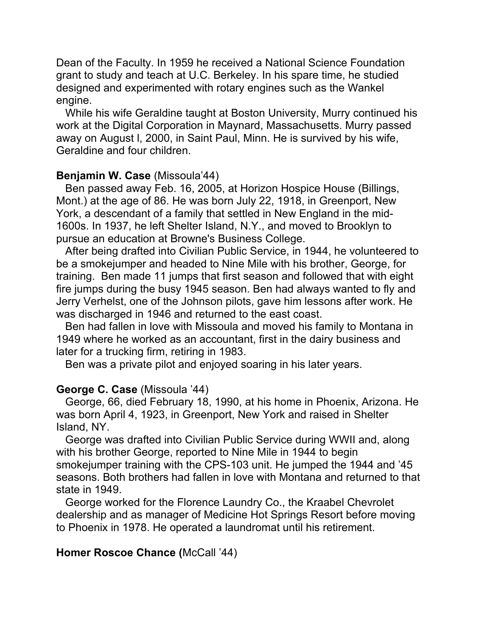Dean of the Faculty. In 1959 he received a National Science Foundation grant to study and teach at U.C. Berkeley. In his spare time, he studied designed and experimented with rotary engines such as the Wankel engine.

 While his wife Geraldine taught at Boston University, Murry continued his work at the Digital Corporation in Maynard, Massachusetts. Murry passed away on August l, 2000, in Saint Paul, Minn. He is survived by his wife, Geraldine and four children.

# **Benjamin W. Case** (Missoula'44)

 Ben passed away Feb. 16, 2005, at Horizon Hospice House (Billings, Mont.) at the age of 86. He was born July 22, 1918, in Greenport, New York, a descendant of a family that settled in New England in the mid-1600s. In 1937, he left Shelter Island, N.Y., and moved to Brooklyn to pursue an education at Browne's Business College.

 After being drafted into Civilian Public Service, in 1944, he volunteered to be a smokejumper and headed to Nine Mile with his brother, George, for training. Ben made 11 jumps that first season and followed that with eight fire jumps during the busy 1945 season. Ben had always wanted to fly and Jerry Verhelst, one of the Johnson pilots, gave him lessons after work. He was discharged in 1946 and returned to the east coast.

 Ben had fallen in love with Missoula and moved his family to Montana in 1949 where he worked as an accountant, first in the dairy business and later for a trucking firm, retiring in 1983.

Ben was a private pilot and enjoyed soaring in his later years.

# **George C. Case** (Missoula '44)

 George, 66, died February 18, 1990, at his home in Phoenix, Arizona. He was born April 4, 1923, in Greenport, New York and raised in Shelter Island, NY.

 George was drafted into Civilian Public Service during WWII and, along with his brother George, reported to Nine Mile in 1944 to begin smokejumper training with the CPS-103 unit. He jumped the 1944 and '45 seasons. Both brothers had fallen in love with Montana and returned to that state in 1949.

 George worked for the Florence Laundry Co., the Kraabel Chevrolet dealership and as manager of Medicine Hot Springs Resort before moving to Phoenix in 1978. He operated a laundromat until his retirement.

# **Homer Roscoe Chance (**McCall '44)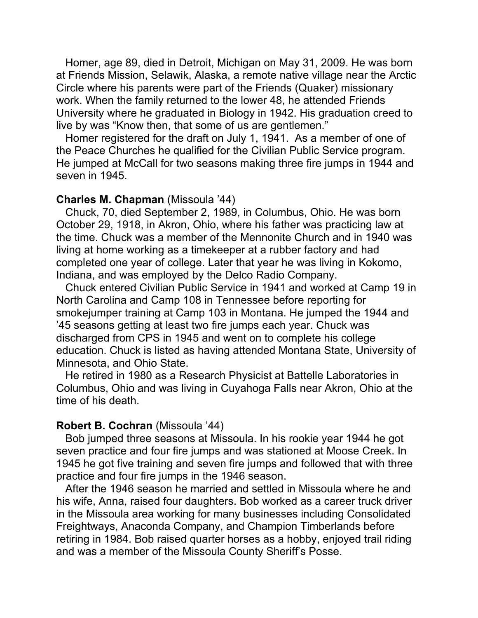Homer, age 89, died in Detroit, Michigan on May 31, 2009. He was born at Friends Mission, Selawik, Alaska, a remote native village near the Arctic Circle where his parents were part of the Friends (Quaker) missionary work. When the family returned to the lower 48, he attended Friends University where he graduated in Biology in 1942. His graduation creed to live by was "Know then, that some of us are gentlemen."

 Homer registered for the draft on July 1, 1941. As a member of one of the Peace Churches he qualified for the Civilian Public Service program. He jumped at McCall for two seasons making three fire jumps in 1944 and seven in 1945.

### **Charles M. Chapman** (Missoula '44)

 Chuck, 70, died September 2, 1989, in Columbus, Ohio. He was born October 29, 1918, in Akron, Ohio, where his father was practicing law at the time. Chuck was a member of the Mennonite Church and in 1940 was living at home working as a timekeeper at a rubber factory and had completed one year of college. Later that year he was living in Kokomo, Indiana, and was employed by the Delco Radio Company.

 Chuck entered Civilian Public Service in 1941 and worked at Camp 19 in North Carolina and Camp 108 in Tennessee before reporting for smokejumper training at Camp 103 in Montana. He jumped the 1944 and '45 seasons getting at least two fire jumps each year. Chuck was discharged from CPS in 1945 and went on to complete his college education. Chuck is listed as having attended Montana State, University of Minnesota, and Ohio State.

 He retired in 1980 as a Research Physicist at Battelle Laboratories in Columbus, Ohio and was living in Cuyahoga Falls near Akron, Ohio at the time of his death.

#### **Robert B. Cochran** (Missoula '44)

 Bob jumped three seasons at Missoula. In his rookie year 1944 he got seven practice and four fire jumps and was stationed at Moose Creek. In 1945 he got five training and seven fire jumps and followed that with three practice and four fire jumps in the 1946 season.

 After the 1946 season he married and settled in Missoula where he and his wife, Anna, raised four daughters. Bob worked as a career truck driver in the Missoula area working for many businesses including Consolidated Freightways, Anaconda Company, and Champion Timberlands before retiring in 1984. Bob raised quarter horses as a hobby, enjoyed trail riding and was a member of the Missoula County Sheriff's Posse.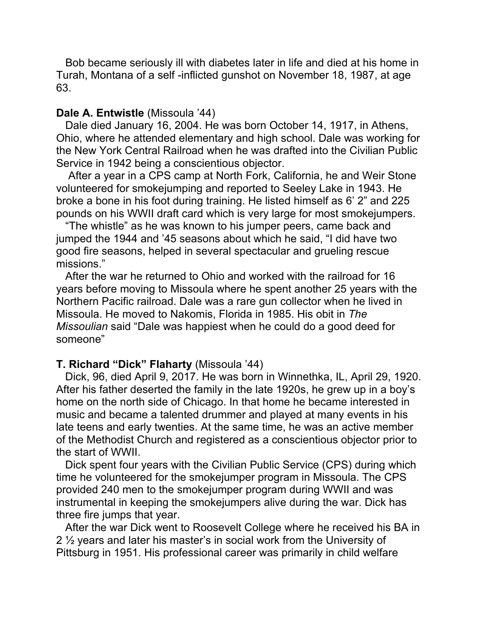Bob became seriously ill with diabetes later in life and died at his home in Turah, Montana of a self -inflicted gunshot on November 18, 1987, at age 63.

### **Dale A. Entwistle** (Missoula '44)

 Dale died January 16, 2004. He was born October 14, 1917, in Athens, Ohio, where he attended elementary and high school. Dale was working for the New York Central Railroad when he was drafted into the Civilian Public Service in 1942 being a conscientious objector.

 After a year in a CPS camp at North Fork, California, he and Weir Stone volunteered for smokejumping and reported to Seeley Lake in 1943. He broke a bone in his foot during training. He listed himself as 6' 2" and 225 pounds on his WWII draft card which is very large for most smokejumpers.

 "The whistle" as he was known to his jumper peers, came back and jumped the 1944 and '45 seasons about which he said, "I did have two good fire seasons, helped in several spectacular and grueling rescue missions."

 After the war he returned to Ohio and worked with the railroad for 16 years before moving to Missoula where he spent another 25 years with the Northern Pacific railroad. Dale was a rare gun collector when he lived in Missoula. He moved to Nakomis, Florida in 1985. His obit in *The Missoulian* said "Dale was happiest when he could do a good deed for someone"

### **T. Richard "Dick" Flaharty** (Missoula '44)

 Dick, 96, died April 9, 2017. He was born in Winnethka, IL, April 29, 1920. After his father deserted the family in the late 1920s, he grew up in a boy's home on the north side of Chicago. In that home he became interested in music and became a talented drummer and played at many events in his late teens and early twenties. At the same time, he was an active member of the Methodist Church and registered as a conscientious objector prior to the start of WWII.

 Dick spent four years with the Civilian Public Service (CPS) during which time he volunteered for the smokejumper program in Missoula. The CPS provided 240 men to the smokejumper program during WWII and was instrumental in keeping the smokejumpers alive during the war. Dick has three fire jumps that year.

 After the war Dick went to Roosevelt College where he received his BA in 2 <sup>1/2</sup> years and later his master's in social work from the University of Pittsburg in 1951. His professional career was primarily in child welfare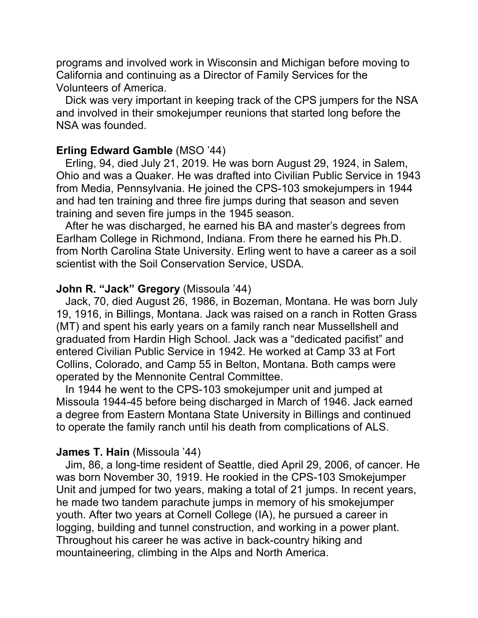programs and involved work in Wisconsin and Michigan before moving to California and continuing as a Director of Family Services for the Volunteers of America.

 Dick was very important in keeping track of the CPS jumpers for the NSA and involved in their smokejumper reunions that started long before the NSA was founded.

# **Erling Edward Gamble** (MSO '44)

 Erling, 94, died July 21, 2019. He was born August 29, 1924, in Salem, Ohio and was a Quaker. He was drafted into Civilian Public Service in 1943 from Media, Pennsylvania. He joined the CPS-103 smokejumpers in 1944 and had ten training and three fire jumps during that season and seven training and seven fire jumps in the 1945 season.

 After he was discharged, he earned his BA and master's degrees from Earlham College in Richmond, Indiana. From there he earned his Ph.D. from North Carolina State University. Erling went to have a career as a soil scientist with the Soil Conservation Service, USDA.

### **John R. "Jack" Gregory** (Missoula '44)

 Jack, 70, died August 26, 1986, in Bozeman, Montana. He was born July 19, 1916, in Billings, Montana. Jack was raised on a ranch in Rotten Grass (MT) and spent his early years on a family ranch near Mussellshell and graduated from Hardin High School. Jack was a "dedicated pacifist" and entered Civilian Public Service in 1942. He worked at Camp 33 at Fort Collins, Colorado, and Camp 55 in Belton, Montana. Both camps were operated by the Mennonite Central Committee.

 In 1944 he went to the CPS-103 smokejumper unit and jumped at Missoula 1944-45 before being discharged in March of 1946. Jack earned a degree from Eastern Montana State University in Billings and continued to operate the family ranch until his death from complications of ALS.

### **James T. Hain** (Missoula '44)

 Jim, 86, a long-time resident of Seattle, died April 29, 2006, of cancer. He was born November 30, 1919. He rookied in the CPS-103 Smokejumper Unit and jumped for two years, making a total of 21 jumps. In recent years, he made two tandem parachute jumps in memory of his smokejumper youth. After two years at Cornell College (IA), he pursued a career in logging, building and tunnel construction, and working in a power plant. Throughout his career he was active in back-country hiking and mountaineering, climbing in the Alps and North America.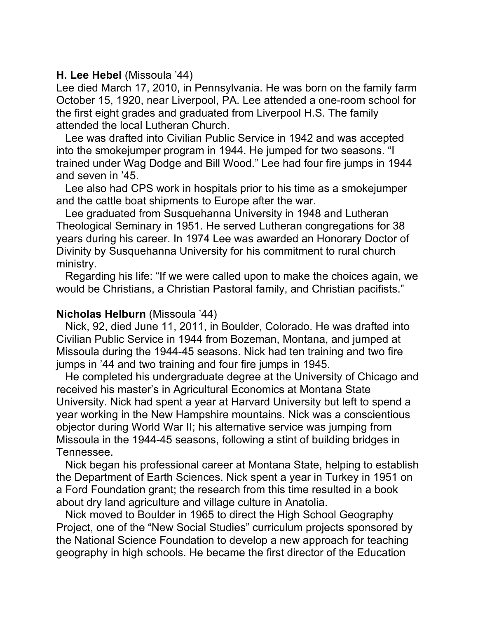### **H. Lee Hebel** (Missoula '44)

Lee died March 17, 2010, in Pennsylvania. He was born on the family farm October 15, 1920, near Liverpool, PA. Lee attended a one-room school for the first eight grades and graduated from Liverpool H.S. The family attended the local Lutheran Church.

 Lee was drafted into Civilian Public Service in 1942 and was accepted into the smokejumper program in 1944. He jumped for two seasons. "I trained under Wag Dodge and Bill Wood." Lee had four fire jumps in 1944 and seven in '45.

 Lee also had CPS work in hospitals prior to his time as a smokejumper and the cattle boat shipments to Europe after the war.

 Lee graduated from Susquehanna University in 1948 and Lutheran Theological Seminary in 1951. He served Lutheran congregations for 38 years during his career. In 1974 Lee was awarded an Honorary Doctor of Divinity by Susquehanna University for his commitment to rural church ministry.

 Regarding his life: "If we were called upon to make the choices again, we would be Christians, a Christian Pastoral family, and Christian pacifists."

### **Nicholas Helburn** (Missoula '44)

 Nick, 92, died June 11, 2011, in Boulder, Colorado. He was drafted into Civilian Public Service in 1944 from Bozeman, Montana, and jumped at Missoula during the 1944-45 seasons. Nick had ten training and two fire jumps in '44 and two training and four fire jumps in 1945.

 He completed his undergraduate degree at the University of Chicago and received his master's in Agricultural Economics at Montana State University. Nick had spent a year at Harvard University but left to spend a year working in the New Hampshire mountains. Nick was a conscientious objector during World War II; his alternative service was jumping from Missoula in the 1944-45 seasons, following a stint of building bridges in Tennessee.

 Nick began his professional career at Montana State, helping to establish the Department of Earth Sciences. Nick spent a year in Turkey in 1951 on a Ford Foundation grant; the research from this time resulted in a book about dry land agriculture and village culture in Anatolia.

 Nick moved to Boulder in 1965 to direct the High School Geography Project, one of the "New Social Studies" curriculum projects sponsored by the National Science Foundation to develop a new approach for teaching geography in high schools. He became the first director of the Education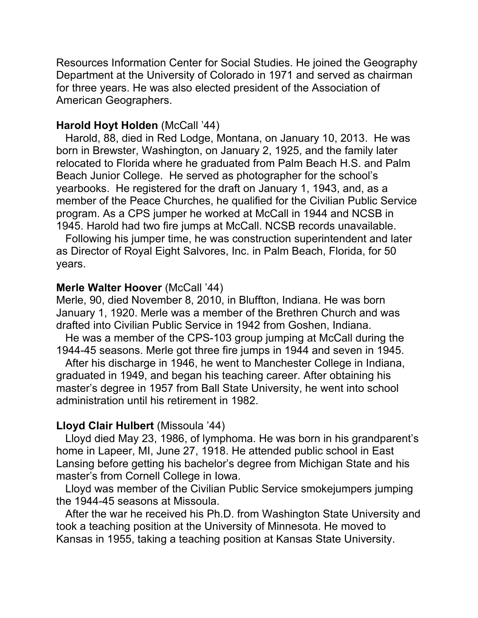Resources Information Center for Social Studies. He joined the Geography Department at the University of Colorado in 1971 and served as chairman for three years. He was also elected president of the Association of American Geographers.

### **Harold Hoyt Holden** (McCall '44)

 Harold, 88, died in Red Lodge, Montana, on January 10, 2013. He was born in Brewster, Washington, on January 2, 1925, and the family later relocated to Florida where he graduated from Palm Beach H.S. and Palm Beach Junior College. He served as photographer for the school's yearbooks. He registered for the draft on January 1, 1943, and, as a member of the Peace Churches, he qualified for the Civilian Public Service program. As a CPS jumper he worked at McCall in 1944 and NCSB in 1945. Harold had two fire jumps at McCall. NCSB records unavailable.

 Following his jumper time, he was construction superintendent and later as Director of Royal Eight Salvores, Inc. in Palm Beach, Florida, for 50 years.

### **Merle Walter Hoover** (McCall '44)

Merle, 90, died November 8, 2010, in Bluffton, Indiana. He was born January 1, 1920. Merle was a member of the Brethren Church and was drafted into Civilian Public Service in 1942 from Goshen, Indiana.

 He was a member of the CPS-103 group jumping at McCall during the 1944-45 seasons. Merle got three fire jumps in 1944 and seven in 1945.

 After his discharge in 1946, he went to Manchester College in Indiana, graduated in 1949, and began his teaching career. After obtaining his master's degree in 1957 from Ball State University, he went into school administration until his retirement in 1982.

# **Lloyd Clair Hulbert** (Missoula '44)

 Lloyd died May 23, 1986, of lymphoma. He was born in his grandparent's home in Lapeer, MI, June 27, 1918. He attended public school in East Lansing before getting his bachelor's degree from Michigan State and his master's from Cornell College in Iowa.

 Lloyd was member of the Civilian Public Service smokejumpers jumping the 1944-45 seasons at Missoula.

 After the war he received his Ph.D. from Washington State University and took a teaching position at the University of Minnesota. He moved to Kansas in 1955, taking a teaching position at Kansas State University.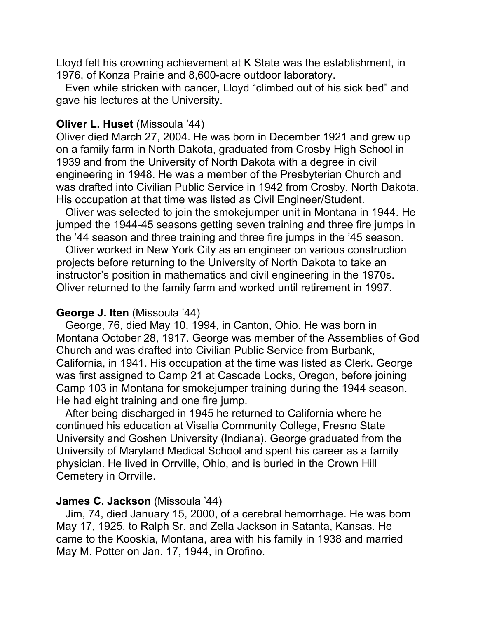Lloyd felt his crowning achievement at K State was the establishment, in 1976, of Konza Prairie and 8,600-acre outdoor laboratory.

 Even while stricken with cancer, Lloyd "climbed out of his sick bed" and gave his lectures at the University.

#### **Oliver L. Huset** (Missoula '44)

Oliver died March 27, 2004. He was born in December 1921 and grew up on a family farm in North Dakota, graduated from Crosby High School in 1939 and from the University of North Dakota with a degree in civil engineering in 1948. He was a member of the Presbyterian Church and was drafted into Civilian Public Service in 1942 from Crosby, North Dakota. His occupation at that time was listed as Civil Engineer/Student.

 Oliver was selected to join the smokejumper unit in Montana in 1944. He jumped the 1944-45 seasons getting seven training and three fire jumps in the '44 season and three training and three fire jumps in the '45 season.

 Oliver worked in New York City as an engineer on various construction projects before returning to the University of North Dakota to take an instructor's position in mathematics and civil engineering in the 1970s. Oliver returned to the family farm and worked until retirement in 1997.

#### **George J. Iten** (Missoula '44)

 George, 76, died May 10, 1994, in Canton, Ohio. He was born in Montana October 28, 1917. George was member of the Assemblies of God Church and was drafted into Civilian Public Service from Burbank, California, in 1941. His occupation at the time was listed as Clerk. George was first assigned to Camp 21 at Cascade Locks, Oregon, before joining Camp 103 in Montana for smokejumper training during the 1944 season. He had eight training and one fire jump.

 After being discharged in 1945 he returned to California where he continued his education at Visalia Community College, Fresno State University and Goshen University (Indiana). George graduated from the University of Maryland Medical School and spent his career as a family physician. He lived in Orrville, Ohio, and is buried in the Crown Hill Cemetery in Orrville.

#### **James C. Jackson** (Missoula '44)

 Jim, 74, died January 15, 2000, of a cerebral hemorrhage. He was born May 17, 1925, to Ralph Sr. and Zella Jackson in Satanta, Kansas. He came to the Kooskia, Montana, area with his family in 1938 and married May M. Potter on Jan. 17, 1944, in Orofino.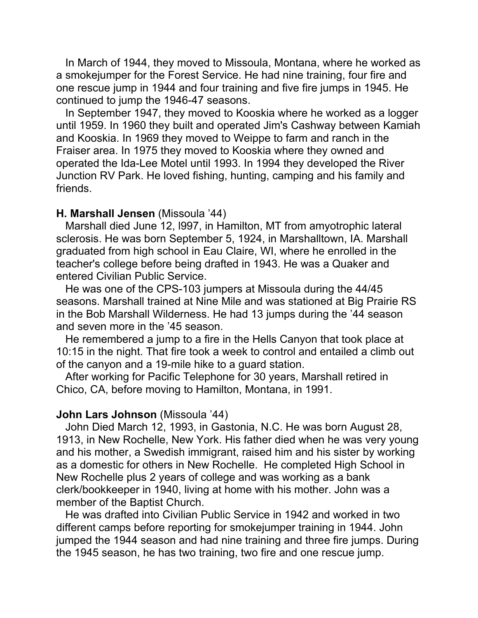In March of 1944, they moved to Missoula, Montana, where he worked as a smokejumper for the Forest Service. He had nine training, four fire and one rescue jump in 1944 and four training and five fire jumps in 1945. He continued to jump the 1946-47 seasons.

 In September 1947, they moved to Kooskia where he worked as a logger until 1959. In 1960 they built and operated Jim's Cashway between Kamiah and Kooskia. In 1969 they moved to Weippe to farm and ranch in the Fraiser area. In 1975 they moved to Kooskia where they owned and operated the Ida-Lee Motel until 1993. In 1994 they developed the River Junction RV Park. He loved fishing, hunting, camping and his family and friends.

#### **H. Marshall Jensen** (Missoula '44)

 Marshall died June 12, l997, in Hamilton, MT from amyotrophic lateral sclerosis. He was born September 5, 1924, in Marshalltown, IA. Marshall graduated from high school in Eau Claire, WI, where he enrolled in the teacher's college before being drafted in 1943. He was a Quaker and entered Civilian Public Service.

 He was one of the CPS-103 jumpers at Missoula during the 44/45 seasons. Marshall trained at Nine Mile and was stationed at Big Prairie RS in the Bob Marshall Wilderness. He had 13 jumps during the '44 season and seven more in the '45 season.

 He remembered a jump to a fire in the Hells Canyon that took place at 10:15 in the night. That fire took a week to control and entailed a climb out of the canyon and a 19-mile hike to a guard station.

 After working for Pacific Telephone for 30 years, Marshall retired in Chico, CA, before moving to Hamilton, Montana, in 1991.

### **John Lars Johnson** (Missoula '44)

 John Died March 12, 1993, in Gastonia, N.C. He was born August 28, 1913, in New Rochelle, New York. His father died when he was very young and his mother, a Swedish immigrant, raised him and his sister by working as a domestic for others in New Rochelle. He completed High School in New Rochelle plus 2 years of college and was working as a bank clerk/bookkeeper in 1940, living at home with his mother. John was a member of the Baptist Church.

 He was drafted into Civilian Public Service in 1942 and worked in two different camps before reporting for smokejumper training in 1944. John jumped the 1944 season and had nine training and three fire jumps. During the 1945 season, he has two training, two fire and one rescue jump.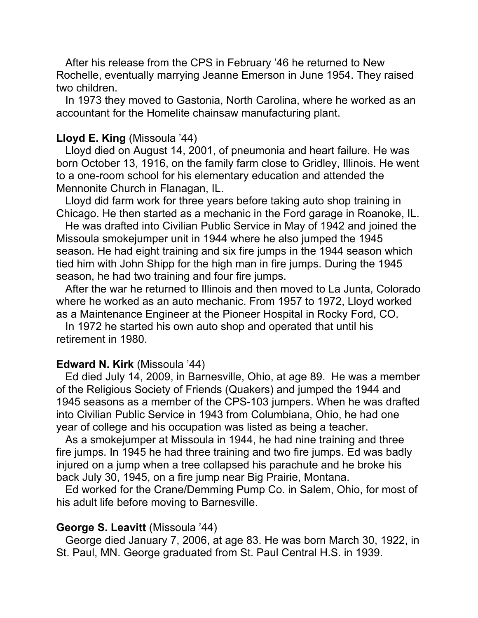After his release from the CPS in February '46 he returned to New Rochelle, eventually marrying Jeanne Emerson in June 1954. They raised two children.

 In 1973 they moved to Gastonia, North Carolina, where he worked as an accountant for the Homelite chainsaw manufacturing plant.

### **Lloyd E. King** (Missoula '44)

 Lloyd died on August 14, 2001, of pneumonia and heart failure. He was born October 13, 1916, on the family farm close to Gridley, Illinois. He went to a one-room school for his elementary education and attended the Mennonite Church in Flanagan, IL.

 Lloyd did farm work for three years before taking auto shop training in Chicago. He then started as a mechanic in the Ford garage in Roanoke, IL.

 He was drafted into Civilian Public Service in May of 1942 and joined the Missoula smokejumper unit in 1944 where he also jumped the 1945 season. He had eight training and six fire jumps in the 1944 season which tied him with John Shipp for the high man in fire jumps. During the 1945 season, he had two training and four fire jumps.

 After the war he returned to Illinois and then moved to La Junta, Colorado where he worked as an auto mechanic. From 1957 to 1972, Lloyd worked as a Maintenance Engineer at the Pioneer Hospital in Rocky Ford, CO.

 In 1972 he started his own auto shop and operated that until his retirement in 1980.

### **Edward N. Kirk** (Missoula '44)

 Ed died July 14, 2009, in Barnesville, Ohio, at age 89. He was a member of the Religious Society of Friends (Quakers) and jumped the 1944 and 1945 seasons as a member of the CPS-103 jumpers. When he was drafted into Civilian Public Service in 1943 from Columbiana, Ohio, he had one year of college and his occupation was listed as being a teacher.

 As a smokejumper at Missoula in 1944, he had nine training and three fire jumps. In 1945 he had three training and two fire jumps. Ed was badly injured on a jump when a tree collapsed his parachute and he broke his back July 30, 1945, on a fire jump near Big Prairie, Montana.

 Ed worked for the Crane/Demming Pump Co. in Salem, Ohio, for most of his adult life before moving to Barnesville.

### **George S. Leavitt** (Missoula '44)

 George died January 7, 2006, at age 83. He was born March 30, 1922, in St. Paul, MN. George graduated from St. Paul Central H.S. in 1939.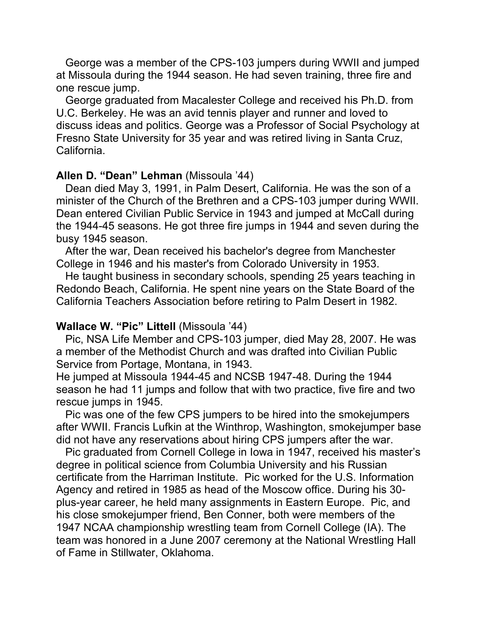George was a member of the CPS-103 jumpers during WWII and jumped at Missoula during the 1944 season. He had seven training, three fire and one rescue jump.

 George graduated from Macalester College and received his Ph.D. from U.C. Berkeley. He was an avid tennis player and runner and loved to discuss ideas and politics. George was a Professor of Social Psychology at Fresno State University for 35 year and was retired living in Santa Cruz, California.

## **Allen D. "Dean" Lehman** (Missoula '44)

 Dean died May 3, 1991, in Palm Desert, California. He was the son of a minister of the Church of the Brethren and a CPS-103 jumper during WWII. Dean entered Civilian Public Service in 1943 and jumped at McCall during the 1944-45 seasons. He got three fire jumps in 1944 and seven during the busy 1945 season.

 After the war, Dean received his bachelor's degree from Manchester College in 1946 and his master's from Colorado University in 1953.

 He taught business in secondary schools, spending 25 years teaching in Redondo Beach, California. He spent nine years on the State Board of the California Teachers Association before retiring to Palm Desert in 1982.

### **Wallace W. "Pic" Littell** (Missoula '44)

 Pic, NSA Life Member and CPS-103 jumper, died May 28, 2007. He was a member of the Methodist Church and was drafted into Civilian Public Service from Portage, Montana, in 1943.

He jumped at Missoula 1944-45 and NCSB 1947-48. During the 1944 season he had 11 jumps and follow that with two practice, five fire and two rescue jumps in 1945.

 Pic was one of the few CPS jumpers to be hired into the smokejumpers after WWII. Francis Lufkin at the Winthrop, Washington, smokejumper base did not have any reservations about hiring CPS jumpers after the war.

 Pic graduated from Cornell College in Iowa in 1947, received his master's degree in political science from Columbia University and his Russian certificate from the Harriman Institute. Pic worked for the U.S. Information Agency and retired in 1985 as head of the Moscow office. During his 30 plus-year career, he held many assignments in Eastern Europe. Pic, and his close smokejumper friend, Ben Conner, both were members of the 1947 NCAA championship wrestling team from Cornell College (IA). The team was honored in a June 2007 ceremony at the National Wrestling Hall of Fame in Stillwater, Oklahoma.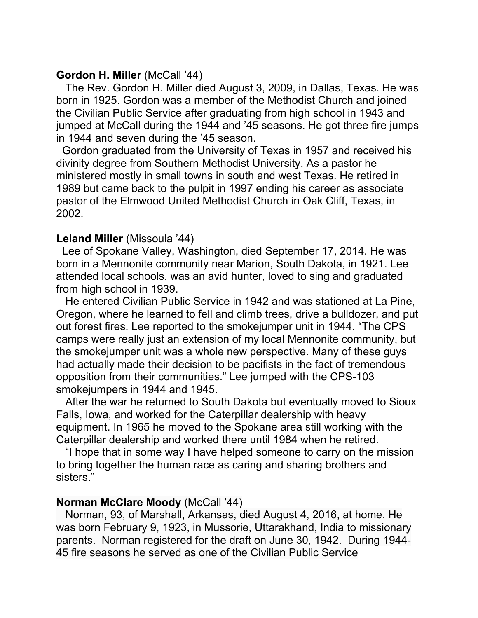### **Gordon H. Miller** (McCall '44)

 The Rev. Gordon H. Miller died August 3, 2009, in Dallas, Texas. He was born in 1925. Gordon was a member of the Methodist Church and joined the Civilian Public Service after graduating from high school in 1943 and jumped at McCall during the 1944 and '45 seasons. He got three fire jumps in 1944 and seven during the '45 season.

 Gordon graduated from the University of Texas in 1957 and received his divinity degree from Southern Methodist University. As a pastor he ministered mostly in small towns in south and west Texas. He retired in 1989 but came back to the pulpit in 1997 ending his career as associate pastor of the Elmwood United Methodist Church in Oak Cliff, Texas, in 2002.

# **Leland Miller** (Missoula '44)

 Lee of Spokane Valley, Washington, died September 17, 2014. He was born in a Mennonite community near Marion, South Dakota, in 1921. Lee attended local schools, was an avid hunter, loved to sing and graduated from high school in 1939.

 He entered Civilian Public Service in 1942 and was stationed at La Pine, Oregon, where he learned to fell and climb trees, drive a bulldozer, and put out forest fires. Lee reported to the smokejumper unit in 1944. "The CPS camps were really just an extension of my local Mennonite community, but the smokejumper unit was a whole new perspective. Many of these guys had actually made their decision to be pacifists in the fact of tremendous opposition from their communities." Lee jumped with the CPS-103 smokejumpers in 1944 and 1945.

 After the war he returned to South Dakota but eventually moved to Sioux Falls, Iowa, and worked for the Caterpillar dealership with heavy equipment. In 1965 he moved to the Spokane area still working with the Caterpillar dealership and worked there until 1984 when he retired.

 "I hope that in some way I have helped someone to carry on the mission to bring together the human race as caring and sharing brothers and sisters."

### **Norman McClare Moody** (McCall '44)

 Norman, 93, of Marshall, Arkansas, died August 4, 2016, at home. He was born February 9, 1923, in Mussorie, Uttarakhand, India to missionary parents. Norman registered for the draft on June 30, 1942. During 1944- 45 fire seasons he served as one of the Civilian Public Service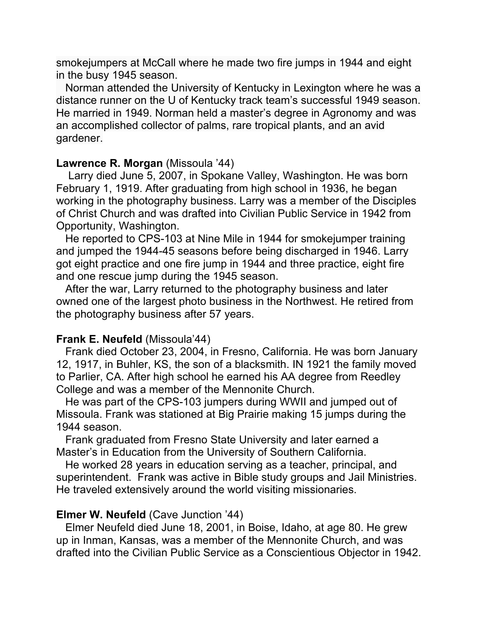smokejumpers at McCall where he made two fire jumps in 1944 and eight in the busy 1945 season.

 Norman attended the University of Kentucky in Lexington where he was a distance runner on the U of Kentucky track team's successful 1949 season. He married in 1949. Norman held a master's degree in Agronomy and was an accomplished collector of palms, rare tropical plants, and an avid gardener.

### **Lawrence R. Morgan** (Missoula '44)

 Larry died June 5, 2007, in Spokane Valley, Washington. He was born February 1, 1919. After graduating from high school in 1936, he began working in the photography business. Larry was a member of the Disciples of Christ Church and was drafted into Civilian Public Service in 1942 from Opportunity, Washington.

 He reported to CPS-103 at Nine Mile in 1944 for smokejumper training and jumped the 1944-45 seasons before being discharged in 1946. Larry got eight practice and one fire jump in 1944 and three practice, eight fire and one rescue jump during the 1945 season.

 After the war, Larry returned to the photography business and later owned one of the largest photo business in the Northwest. He retired from the photography business after 57 years.

# **Frank E. Neufeld** (Missoula'44)

 Frank died October 23, 2004, in Fresno, California. He was born January 12, 1917, in Buhler, KS, the son of a blacksmith. IN 1921 the family moved to Parlier, CA. After high school he earned his AA degree from Reedley College and was a member of the Mennonite Church.

 He was part of the CPS-103 jumpers during WWII and jumped out of Missoula. Frank was stationed at Big Prairie making 15 jumps during the 1944 season.

 Frank graduated from Fresno State University and later earned a Master's in Education from the University of Southern California.

 He worked 28 years in education serving as a teacher, principal, and superintendent. Frank was active in Bible study groups and Jail Ministries. He traveled extensively around the world visiting missionaries.

# **Elmer W. Neufeld** (Cave Junction '44)

 Elmer Neufeld died June 18, 2001, in Boise, Idaho, at age 80. He grew up in Inman, Kansas, was a member of the Mennonite Church, and was drafted into the Civilian Public Service as a Conscientious Objector in 1942.